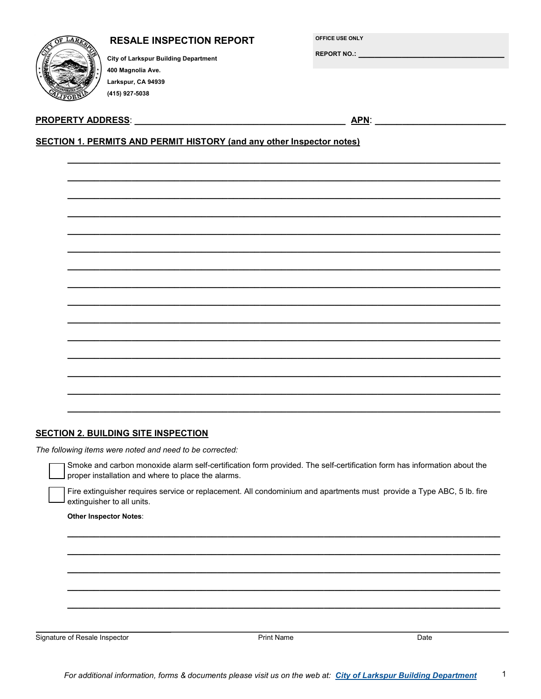|      | LARKO               |  |
|------|---------------------|--|
|      |                     |  |
|      |                     |  |
|      | <b>INCORPORATED</b> |  |
| چينې | LIFORN              |  |

### **RESALE INSPECTION REPORT**

OFFICE USE ONLY

**REPORT NO.:** 

**City of Larkspur Building Department** 400 Magnolia Ave. Larkspur, CA 94939 (415) 927-5038

#### **PROPERTY ADDRESS:**

**APN:** 

## **SECTION 1. PERMITS AND PERMIT HISTORY (and any other Inspector notes)**

#### **SECTION 2. BUILDING SITE INSPECTION**

The following items were noted and need to be corrected:

Smoke and carbon monoxide alarm self-certification form provided. The self-certification form has information about the proper installation and where to place the alarms.

Fire extinguisher requires service or replacement. All condominium and apartments must provide a Type ABC, 5 lb. fire extinguisher to all units.

#### **Other Inspector Notes:**

Signature of Resale Inspector

 $\overline{Date}$